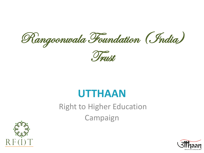Rangoonwala Foundation (India)



## **UTTHAAN**

Right to Higher Education Campaign



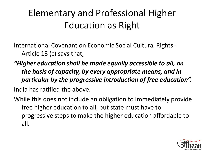## Elementary and Professional Higher Education as Right

International Covenant on Economic Social Cultural Rights - Article 13 (c) says that,

- *"Higher education shall be made equally accessible to all, on the basis of capacity, by every appropriate means, and in particular by the progressive introduction of free education".* India has ratified the above.
- While this does not include an obligation to immediately provide free higher education to all, but state must have to progressive steps to make the higher education affordable to all.

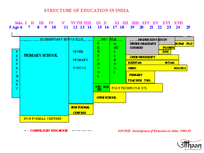#### STRUCTURE OF EDUCATION IN INDIA

| $\mathbf{F}$<br>$\mathbf F$<br>$\mathbf{F}$<br>P<br>F<br>$\mathbf{H}$<br>$\mathbf{A}$<br>$\mathbf F$<br>$\mathbf{T}$ | <u>EL EMENTARY EDUCATION.</u><br><b>PRIMARY SCHOOL</b> | <b>UPPER</b><br><b>FRIMARY</b><br>SCHOOL: | SEC. EDM.<br>×.<br>$\mathbf{E}$<br>$\mathbb{C}$<br>X.<br>C.<br>H<br>$\mathcal{C}_{\mathcal{A}}$<br>$\bullet$<br>L<br>TEC. SCH.<br>$\mathbf{H}$ | Sec.<br>SBC.<br>$\mathbb{S}^n$<br>$\Gamma$<br>$\mathbf{H}$<br>$\bullet$<br>$\Box$<br>L | <b>HGEREDUCATION</b><br><b>UMIER GRAIUATE</b><br><b>COURSES</b><br><b>OPEN UNIVERSITY</b><br><b>RE/ET</b> ech<br><b>MERS</b><br><b>PRIMARY</b><br><b>TEACHER TEG.</b><br>POLYTECHNICS & HTs | <b>PG UMIV.</b><br><b>EEd</b><br><b>HTeh</b> | <u>Mihil ihid</u><br><b>MDMS</b> |
|----------------------------------------------------------------------------------------------------------------------|--------------------------------------------------------|-------------------------------------------|------------------------------------------------------------------------------------------------------------------------------------------------|----------------------------------------------------------------------------------------|---------------------------------------------------------------------------------------------------------------------------------------------------------------------------------------------|----------------------------------------------|----------------------------------|
|                                                                                                                      |                                                        |                                           | <b>OPEN SCHOOL</b>                                                                                                                             |                                                                                        |                                                                                                                                                                                             |                                              |                                  |
|                                                                                                                      |                                                        | <b>NON FOR MAI.</b><br><b>CENTRES</b>     |                                                                                                                                                |                                                                                        |                                                                                                                                                                                             |                                              |                                  |
|                                                                                                                      | NON FORMAL CENTRES                                     |                                           |                                                                                                                                                |                                                                                        |                                                                                                                                                                                             |                                              |                                  |

 $-$  COMPULSORY EUDCATION  $-$ -------

SOURCE: Development of Education in India, 1990-91

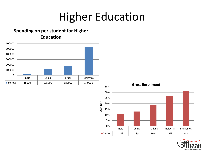# Higher Education

#### **Spending on per student for Higher Education**





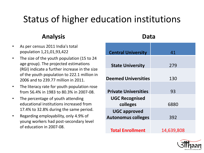## Status of higher education institutions

### **Analysis**

- As per census 2011 India's total population 1,21,01,93,422
- The size of the youth population (15 to 24 age group). The projected estimations (RGI) indicate a further increase in the size of the youth population to 222.1 million in 2006 and to 239.77 million in 2011.
- The literacy rate for youth population rose from 56.4% in 1983 to 80.3% in 2007-08.
- The percentage of youth attending educational institutions increased from 17.4% to 32.8% during the same period.
- Regarding employability, only 4.9% of young workers had post-secondary level of education in 2007-08.

#### **Data**

| <b>Central University</b>                        | 41         |
|--------------------------------------------------|------------|
| <b>State University</b>                          | 279        |
| <b>Deemed Universities</b>                       | 130        |
| <b>Private Universities</b>                      | 93         |
| <b>UGC Recognised</b><br>colleges                | 6880       |
| <b>UGC approved</b><br><b>Autonomus colleges</b> | 392        |
| <b>Total Enrollment</b>                          | 14,639,808 |

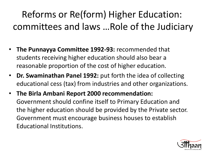## Reforms or Re(form) Higher Education: committees and laws …Role of the Judiciary

- **The Punnayya Committee 1992-93:** recommended that students receiving higher education should also bear a reasonable proportion of the cost of higher education.
- **Dr. Swaminathan Panel 1992:** put forth the idea of collecting educational cess (tax) from industries and other organizations.
- **The Birla Ambani Report 2000 recommendation:** Government should confine itself to Primary Education and the higher education should be provided by the Private sector. Government must encourage business houses to establish Educational Institutions.

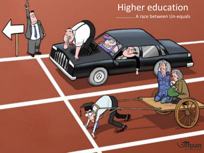## **Higher education**

................ A race between Un-equals

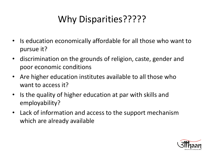## Why Disparities?????

- Is education economically affordable for all those who want to pursue it?
- discrimination on the grounds of religion, caste, gender and poor economic conditions
- Are higher education institutes available to all those who want to access it?
- Is the quality of higher education at par with skills and employability?
- Lack of information and access to the support mechanism which are already available

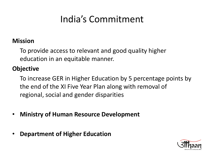## India's Commitment

### **Mission**

To provide access to relevant and good quality higher education in an equitable manner.

### **Objective**

To increase GER in Higher Education by 5 percentage points by the end of the XI Five Year Plan along with removal of regional, social and gender disparities

- **Ministry of Human Resource Development**
- **Department of Higher Education**

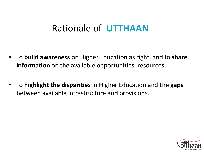### Rationale of **UTTHAAN**

- To **build awareness** on Higher Education as right, and to **share information** on the available opportunities, resources.
- To **highlight the disparities** in Higher Education and the **gaps** between available infrastructure and provisions.

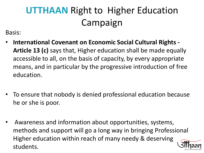## **UTTHAAN** Right to Higher Education Campaign

Basis:

- **International Covenant on Economic Social Cultural Rights - Article 13 (c)** says that, Higher education shall be made equally accessible to all, on the basis of capacity, by every appropriate means, and in particular by the progressive introduction of free education.
- To ensure that nobody is denied professional education because he or she is poor.
- Awareness and information about opportunities, systems, methods and support will go a long way in bringing Professional Higher education within reach of many needy & deserving students.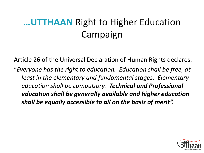## **…UTTHAAN** Right to Higher Education Campaign

Article 26 of the Universal Declaration of Human Rights declares: "*Everyone has the right to education. Education shall be free, at least in the elementary and fundamental stages. Elementary education shall be compulsory. Technical and Professional education shall be generally available and higher education shall be equally accessible to all on the basis of merit".*